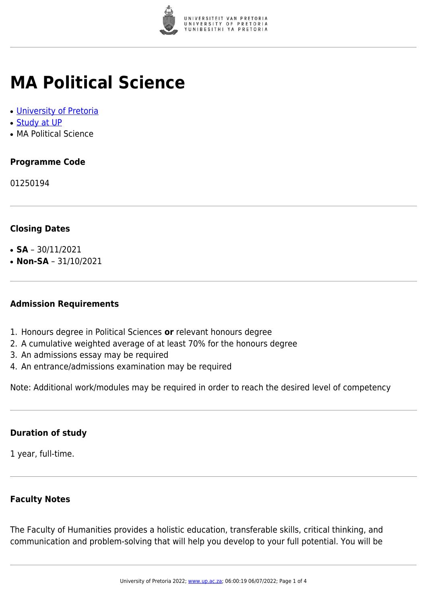

## **MA Political Science**

- [University of Pretoria](https://www.up.ac.za/home)
- [Study at UP](https://www.up.ac.za/programmes)
- MA Political Science

### **Programme Code**

01250194

#### **Closing Dates**

- **SA**  $30/11/2021$
- $\cdot$  **Non-SA** 31/10/2021

#### **Admission Requirements**

- 1. Honours degree in Political Sciences **or** relevant honours degree
- 2. A cumulative weighted average of at least 70% for the honours degree
- 3. An admissions essay may be required
- 4. An entrance/admissions examination may be required

Note: Additional work/modules may be required in order to reach the desired level of competency

#### **Duration of study**

1 year, full-time.

#### **Faculty Notes**

The Faculty of Humanities provides a holistic education, transferable skills, critical thinking, and communication and problem-solving that will help you develop to your full potential. You will be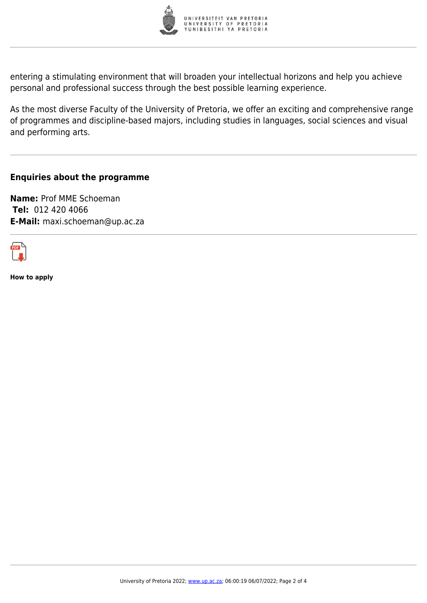

entering a stimulating environment that will broaden your intellectual horizons and help you achieve personal and professional success through the best possible learning experience.

As the most diverse Faculty of the University of Pretoria, we offer an exciting and comprehensive range of programmes and discipline-based majors, including studies in languages, social sciences and visual and performing arts.

#### **Enquiries about the programme**

**Name:** Prof MME Schoeman **Tel:** 012 420 4066 **E-Mail:** maxi.schoeman@up.ac.za



**How to apply**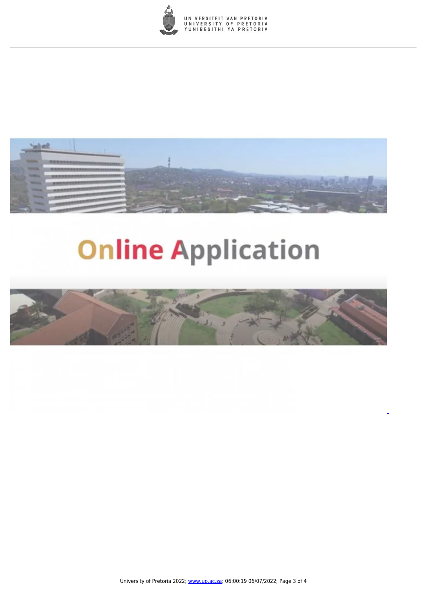



# **Online Application**